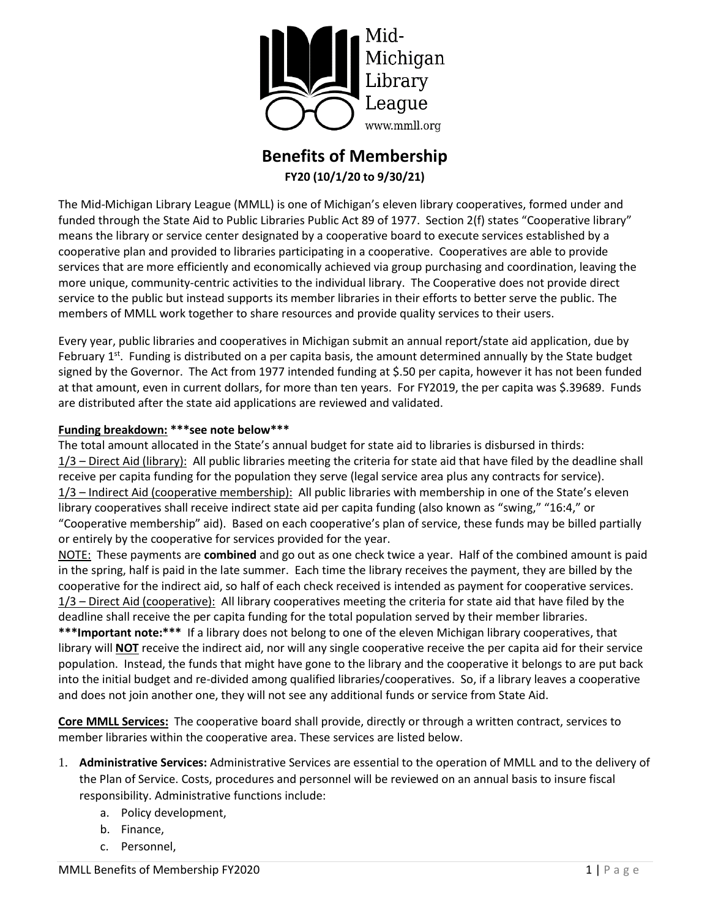

# **Benefits of Membership FY20 (10/1/20 to 9/30/21)**

The Mid-Michigan Library League (MMLL) is one of Michigan's eleven library cooperatives, formed under and funded through the State Aid to Public Libraries Public Act 89 of 1977. Section 2(f) states "Cooperative library" means the library or service center designated by a cooperative board to execute services established by a cooperative plan and provided to libraries participating in a cooperative. Cooperatives are able to provide services that are more efficiently and economically achieved via group purchasing and coordination, leaving the more unique, community-centric activities to the individual library. The Cooperative does not provide direct service to the public but instead supports its member libraries in their efforts to better serve the public. The members of MMLL work together to share resources and provide quality services to their users.

Every year, public libraries and cooperatives in Michigan submit an annual report/state aid application, due by February  $1^{st}$ . Funding is distributed on a per capita basis, the amount determined annually by the State budget signed by the Governor. The Act from 1977 intended funding at \$.50 per capita, however it has not been funded at that amount, even in current dollars, for more than ten years. For FY2019, the per capita was \$.39689. Funds are distributed after the state aid applications are reviewed and validated.

### **Funding breakdown: \*\*\*see note below\*\*\***

The total amount allocated in the State's annual budget for state aid to libraries is disbursed in thirds: 1/3 – Direct Aid (library): All public libraries meeting the criteria for state aid that have filed by the deadline shall receive per capita funding for the population they serve (legal service area plus any contracts for service). 1/3 – Indirect Aid (cooperative membership): All public libraries with membership in one of the State's eleven library cooperatives shall receive indirect state aid per capita funding (also known as "swing," "16:4," or "Cooperative membership" aid). Based on each cooperative's plan of service, these funds may be billed partially or entirely by the cooperative for services provided for the year.

NOTE: These payments are **combined** and go out as one check twice a year. Half of the combined amount is paid in the spring, half is paid in the late summer. Each time the library receives the payment, they are billed by the cooperative for the indirect aid, so half of each check received is intended as payment for cooperative services. 1/3 – Direct Aid (cooperative): All library cooperatives meeting the criteria for state aid that have filed by the deadline shall receive the per capita funding for the total population served by their member libraries.

**\*\*\*Important note:\*\*\*** If a library does not belong to one of the eleven Michigan library cooperatives, that library will **NOT** receive the indirect aid, nor will any single cooperative receive the per capita aid for their service population. Instead, the funds that might have gone to the library and the cooperative it belongs to are put back into the initial budget and re-divided among qualified libraries/cooperatives. So, if a library leaves a cooperative and does not join another one, they will not see any additional funds or service from State Aid.

**Core MMLL Services:** The cooperative board shall provide, directly or through a written contract, services to member libraries within the cooperative area. These services are listed below.

- 1. **Administrative Services:** Administrative Services are essential to the operation of MMLL and to the delivery of the Plan of Service. Costs, procedures and personnel will be reviewed on an annual basis to insure fiscal responsibility. Administrative functions include:
	- a. Policy development,
	- b. Finance,
	- c. Personnel,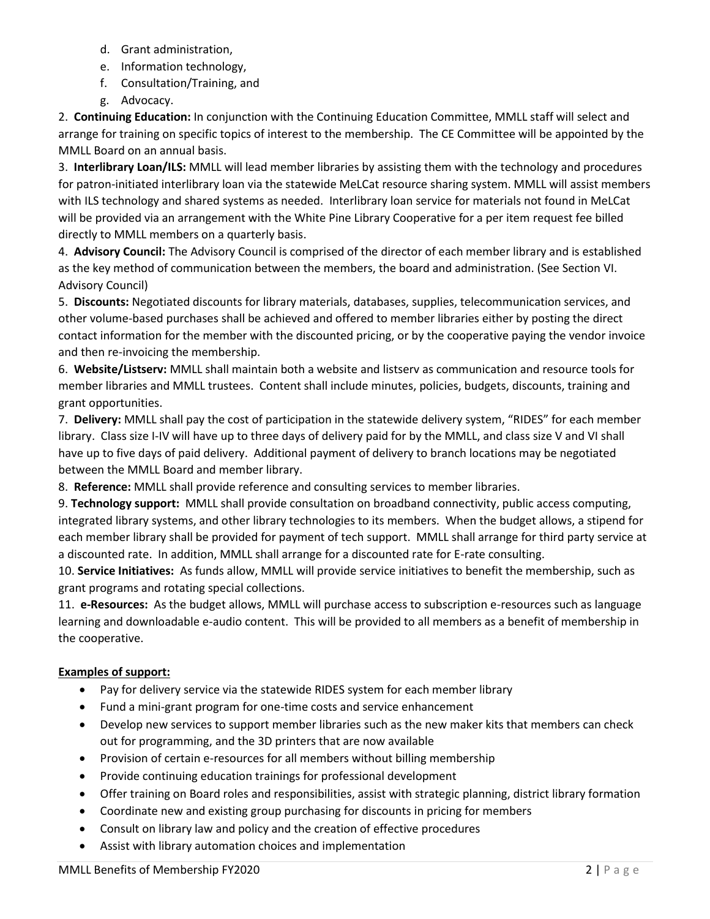- d. Grant administration,
- e. Information technology,
- f. Consultation/Training, and
- g. Advocacy.

2. **Continuing Education:** In conjunction with the Continuing Education Committee, MMLL staff will select and arrange for training on specific topics of interest to the membership. The CE Committee will be appointed by the MMLL Board on an annual basis.

3. **Interlibrary Loan/ILS:** MMLL will lead member libraries by assisting them with the technology and procedures for patron-initiated interlibrary loan via the statewide MeLCat resource sharing system. MMLL will assist members with ILS technology and shared systems as needed. Interlibrary loan service for materials not found in MeLCat will be provided via an arrangement with the White Pine Library Cooperative for a per item request fee billed directly to MMLL members on a quarterly basis.

4. **Advisory Council:** The Advisory Council is comprised of the director of each member library and is established as the key method of communication between the members, the board and administration. (See Section VI. Advisory Council)

5. **Discounts:** Negotiated discounts for library materials, databases, supplies, telecommunication services, and other volume-based purchases shall be achieved and offered to member libraries either by posting the direct contact information for the member with the discounted pricing, or by the cooperative paying the vendor invoice and then re-invoicing the membership.

6. **Website/Listserv:** MMLL shall maintain both a website and listserv as communication and resource tools for member libraries and MMLL trustees. Content shall include minutes, policies, budgets, discounts, training and grant opportunities.

7. **Delivery:** MMLL shall pay the cost of participation in the statewide delivery system, "RIDES" for each member library. Class size I-IV will have up to three days of delivery paid for by the MMLL, and class size V and VI shall have up to five days of paid delivery. Additional payment of delivery to branch locations may be negotiated between the MMLL Board and member library.

8. **Reference:** MMLL shall provide reference and consulting services to member libraries.

9. **Technology support:** MMLL shall provide consultation on broadband connectivity, public access computing, integrated library systems, and other library technologies to its members. When the budget allows, a stipend for each member library shall be provided for payment of tech support. MMLL shall arrange for third party service at a discounted rate. In addition, MMLL shall arrange for a discounted rate for E-rate consulting.

10. **Service Initiatives:** As funds allow, MMLL will provide service initiatives to benefit the membership, such as grant programs and rotating special collections.

11. **e-Resources:** As the budget allows, MMLL will purchase access to subscription e-resources such as language learning and downloadable e-audio content. This will be provided to all members as a benefit of membership in the cooperative.

## **Examples of support:**

- Pay for delivery service via the statewide RIDES system for each member library
- Fund a mini-grant program for one-time costs and service enhancement
- Develop new services to support member libraries such as the new maker kits that members can check out for programming, and the 3D printers that are now available
- Provision of certain e-resources for all members without billing membership
- Provide continuing education trainings for professional development
- Offer training on Board roles and responsibilities, assist with strategic planning, district library formation
- Coordinate new and existing group purchasing for discounts in pricing for members
- Consult on library law and policy and the creation of effective procedures
- Assist with library automation choices and implementation